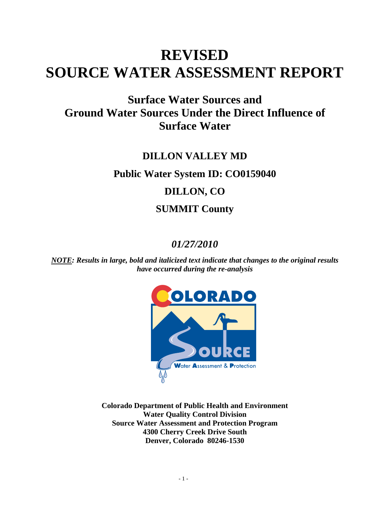# **REVISED SOURCE WATER ASSESSMENT REPORT**

**Surface Water Sources and Ground Water Sources Under the Direct Influence of Surface Water** 

### **DILLON VALLEY MD**

**Public Water System ID: CO0159040** 

### **DILLON, CO**

### **SUMMIT County**

## *01/27/2010*

*NOTE: Results in large, bold and italicized text indicate that changes to the original results have occurred during the re-analysis* 



**Colorado Department of Public Health and Environment Water Quality Control Division Source Water Assessment and Protection Program 4300 Cherry Creek Drive South Denver, Colorado 80246-1530**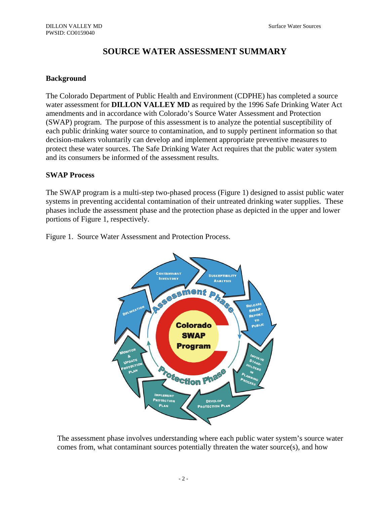### **SOURCE WATER ASSESSMENT SUMMARY**

#### **Background**

The Colorado Department of Public Health and Environment (CDPHE) has completed a source water assessment for **DILLON VALLEY MD** as required by the 1996 Safe Drinking Water Act amendments and in accordance with Colorado's Source Water Assessment and Protection (SWAP) program. The purpose of this assessment is to analyze the potential susceptibility of each public drinking water source to contamination, and to supply pertinent information so that decision-makers voluntarily can develop and implement appropriate preventive measures to protect these water sources. The Safe Drinking Water Act requires that the public water system and its consumers be informed of the assessment results.

#### **SWAP Process**

The SWAP program is a multi-step two-phased process (Figure 1) designed to assist public water systems in preventing accidental contamination of their untreated drinking water supplies. These phases include the assessment phase and the protection phase as depicted in the upper and lower portions of Figure 1, respectively.



Figure 1. Source Water Assessment and Protection Process.

The assessment phase involves understanding where each public water system's source water comes from, what contaminant sources potentially threaten the water source(s), and how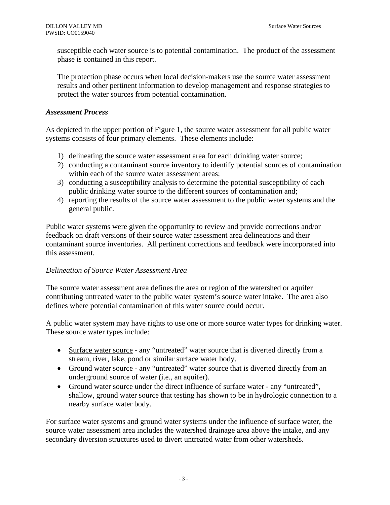susceptible each water source is to potential contamination. The product of the assessment phase is contained in this report.

The protection phase occurs when local decision-makers use the source water assessment results and other pertinent information to develop management and response strategies to protect the water sources from potential contamination.

#### *Assessment Process*

As depicted in the upper portion of Figure 1, the source water assessment for all public water systems consists of four primary elements. These elements include:

- 1) delineating the source water assessment area for each drinking water source;
- 2) conducting a contaminant source inventory to identify potential sources of contamination within each of the source water assessment areas;
- 3) conducting a susceptibility analysis to determine the potential susceptibility of each public drinking water source to the different sources of contamination and;
- 4) reporting the results of the source water assessment to the public water systems and the general public.

Public water systems were given the opportunity to review and provide corrections and/or feedback on draft versions of their source water assessment area delineations and their contaminant source inventories. All pertinent corrections and feedback were incorporated into this assessment.

#### *Delineation of Source Water Assessment Area*

The source water assessment area defines the area or region of the watershed or aquifer contributing untreated water to the public water system's source water intake. The area also defines where potential contamination of this water source could occur.

A public water system may have rights to use one or more source water types for drinking water. These source water types include:

- Surface water source any "untreated" water source that is diverted directly from a stream, river, lake, pond or similar surface water body.
- Ground water source any "untreated" water source that is diverted directly from an underground source of water (i.e., an aquifer).
- Ground water source under the direct influence of surface water any "untreated", shallow, ground water source that testing has shown to be in hydrologic connection to a nearby surface water body.

For surface water systems and ground water systems under the influence of surface water, the source water assessment area includes the watershed drainage area above the intake, and any secondary diversion structures used to divert untreated water from other watersheds.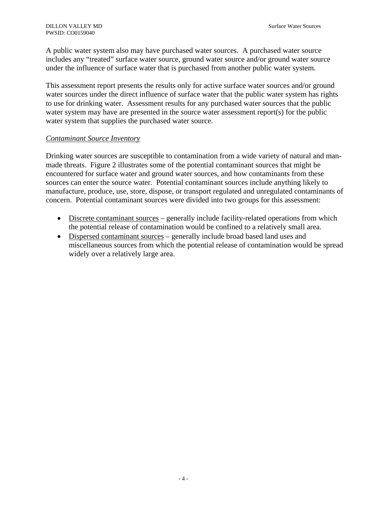A public water system also may have purchased water sources. A purchased water source includes any "treated" surface water source, ground water source and/or ground water source under the influence of surface water that is purchased from another public water system.

This assessment report presents the results only for active surface water sources and/or ground water sources under the direct influence of surface water that the public water system has rights to use for drinking water. Assessment results for any purchased water sources that the public water system may have are presented in the source water assessment report(s) for the public water system that supplies the purchased water source.

#### *Contaminant Source Inventory*

Drinking water sources are susceptible to contamination from a wide variety of natural and manmade threats. Figure 2 illustrates some of the potential contaminant sources that might be encountered for surface water and ground water sources, and how contaminants from these sources can enter the source water. Potential contaminant sources include anything likely to manufacture, produce, use, store, dispose, or transport regulated and unregulated contaminants of concern. Potential contaminant sources were divided into two groups for this assessment:

- Discrete contaminant sources generally include facility-related operations from which the potential release of contamination would be confined to a relatively small area.
- Dispersed contaminant sources generally include broad based land uses and miscellaneous sources from which the potential release of contamination would be spread widely over a relatively large area.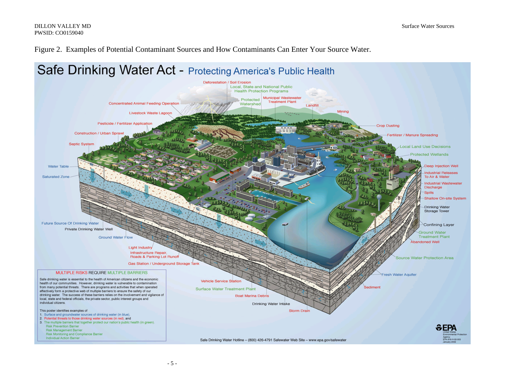#### Figure 2. Examples of Potential Contaminant Sources and How Contaminants Can Enter Your Source Water.

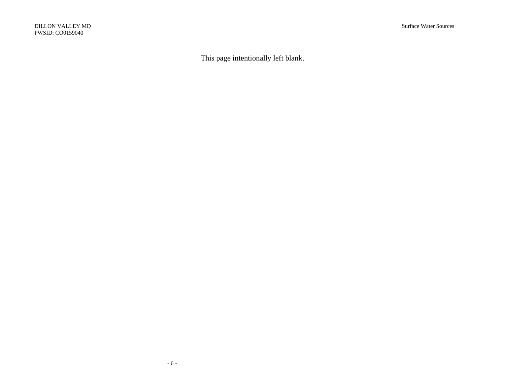This page intentionally left blank.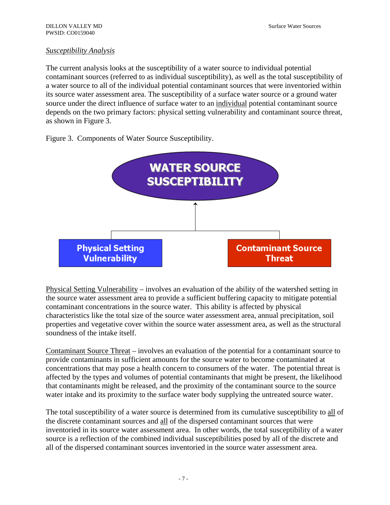#### *Susceptibility Analysis*

The current analysis looks at the susceptibility of a water source to individual potential contaminant sources (referred to as individual susceptibility), as well as the total susceptibility of a water source to all of the individual potential contaminant sources that were inventoried within its source water assessment area. The susceptibility of a surface water source or a ground water source under the direct influence of surface water to an individual potential contaminant source depends on the two primary factors: physical setting vulnerability and contaminant source threat, as shown in Figure 3.



Figure 3. Components of Water Source Susceptibility.

Physical Setting Vulnerability – involves an evaluation of the ability of the watershed setting in the source water assessment area to provide a sufficient buffering capacity to mitigate potential contaminant concentrations in the source water. This ability is affected by physical characteristics like the total size of the source water assessment area, annual precipitation, soil properties and vegetative cover within the source water assessment area, as well as the structural soundness of the intake itself.

Contaminant Source Threat – involves an evaluation of the potential for a contaminant source to provide contaminants in sufficient amounts for the source water to become contaminated at concentrations that may pose a health concern to consumers of the water. The potential threat is affected by the types and volumes of potential contaminants that might be present, the likelihood that contaminants might be released, and the proximity of the contaminant source to the source water intake and its proximity to the surface water body supplying the untreated source water.

The total susceptibility of a water source is determined from its cumulative susceptibility to all of the discrete contaminant sources and all of the dispersed contaminant sources that were inventoried in its source water assessment area. In other words, the total susceptibility of a water source is a reflection of the combined individual susceptibilities posed by all of the discrete and all of the dispersed contaminant sources inventoried in the source water assessment area.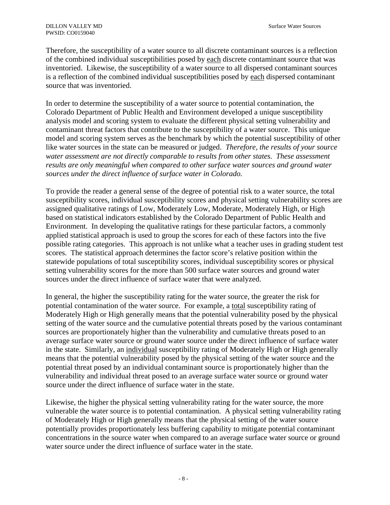Therefore, the susceptibility of a water source to all discrete contaminant sources is a reflection of the combined individual susceptibilities posed by each discrete contaminant source that was inventoried. Likewise, the susceptibility of a water source to all dispersed contaminant sources is a reflection of the combined individual susceptibilities posed by each dispersed contaminant source that was inventoried.

In order to determine the susceptibility of a water source to potential contamination, the Colorado Department of Public Health and Environment developed a unique susceptibility analysis model and scoring system to evaluate the different physical setting vulnerability and contaminant threat factors that contribute to the susceptibility of a water source. This unique model and scoring system serves as the benchmark by which the potential susceptibility of other like water sources in the state can be measured or judged. *Therefore, the results of your source water assessment are not directly comparable to results from other states. These assessment results are only meaningful when compared to other surface water sources and ground water sources under the direct influence of surface water in Colorado.*

To provide the reader a general sense of the degree of potential risk to a water source, the total susceptibility scores, individual susceptibility scores and physical setting vulnerability scores are assigned qualitative ratings of Low, Moderately Low, Moderate, Moderately High, or High based on statistical indicators established by the Colorado Department of Public Health and Environment. In developing the qualitative ratings for these particular factors, a commonly applied statistical approach is used to group the scores for each of these factors into the five possible rating categories. This approach is not unlike what a teacher uses in grading student test scores. The statistical approach determines the factor score's relative position within the statewide populations of total susceptibility scores, individual susceptibility scores or physical setting vulnerability scores for the more than 500 surface water sources and ground water sources under the direct influence of surface water that were analyzed.

In general, the higher the susceptibility rating for the water source, the greater the risk for potential contamination of the water source. For example, a total susceptibility rating of Moderately High or High generally means that the potential vulnerability posed by the physical setting of the water source and the cumulative potential threats posed by the various contaminant sources are proportionately higher than the vulnerability and cumulative threats posed to an average surface water source or ground water source under the direct influence of surface water in the state. Similarly, an individual susceptibility rating of Moderately High or High generally means that the potential vulnerability posed by the physical setting of the water source and the potential threat posed by an individual contaminant source is proportionately higher than the vulnerability and individual threat posed to an average surface water source or ground water source under the direct influence of surface water in the state.

Likewise, the higher the physical setting vulnerability rating for the water source, the more vulnerable the water source is to potential contamination. A physical setting vulnerability rating of Moderately High or High generally means that the physical setting of the water source potentially provides proportionately less buffering capability to mitigate potential contaminant concentrations in the source water when compared to an average surface water source or ground water source under the direct influence of surface water in the state.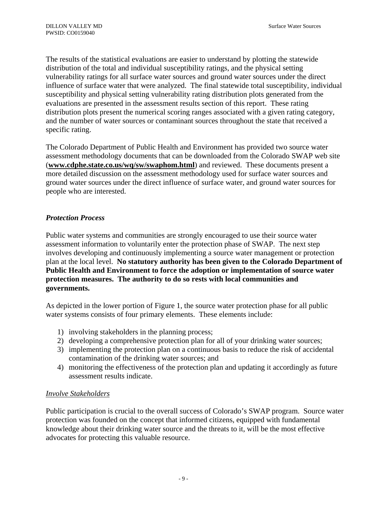The results of the statistical evaluations are easier to understand by plotting the statewide distribution of the total and individual susceptibility ratings, and the physical setting vulnerability ratings for all surface water sources and ground water sources under the direct influence of surface water that were analyzed. The final statewide total susceptibility, individual susceptibility and physical setting vulnerability rating distribution plots generated from the evaluations are presented in the assessment results section of this report. These rating distribution plots present the numerical scoring ranges associated with a given rating category, and the number of water sources or contaminant sources throughout the state that received a specific rating.

The Colorado Department of Public Health and Environment has provided two source water assessment methodology documents that can be downloaded from the Colorado SWAP web site (**[www.cdphe.state.co.us/wq/sw/swaphom.html](http://www.cdphe.state.co.us/wq/sw/swaphom.html)**) and reviewed. These documents present a more detailed discussion on the assessment methodology used for surface water sources and ground water sources under the direct influence of surface water, and ground water sources for people who are interested.

#### *Protection Process*

Public water systems and communities are strongly encouraged to use their source water assessment information to voluntarily enter the protection phase of SWAP. The next step involves developing and continuously implementing a source water management or protection plan at the local level. **No statutory authority has been given to the Colorado Department of Public Health and Environment to force the adoption or implementation of source water protection measures. The authority to do so rests with local communities and governments.**

As depicted in the lower portion of Figure 1, the source water protection phase for all public water systems consists of four primary elements. These elements include:

- 1) involving stakeholders in the planning process;
- 2) developing a comprehensive protection plan for all of your drinking water sources;
- 3) implementing the protection plan on a continuous basis to reduce the risk of accidental contamination of the drinking water sources; and
- 4) monitoring the effectiveness of the protection plan and updating it accordingly as future assessment results indicate.

#### *Involve Stakeholders*

Public participation is crucial to the overall success of Colorado's SWAP program. Source water protection was founded on the concept that informed citizens, equipped with fundamental knowledge about their drinking water source and the threats to it, will be the most effective advocates for protecting this valuable resource.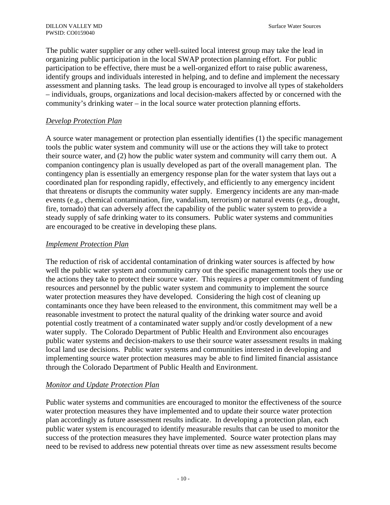The public water supplier or any other well-suited local interest group may take the lead in organizing public participation in the local SWAP protection planning effort. For public participation to be effective, there must be a well-organized effort to raise public awareness, identify groups and individuals interested in helping, and to define and implement the necessary assessment and planning tasks. The lead group is encouraged to involve all types of stakeholders – individuals, groups, organizations and local decision-makers affected by or concerned with the community's drinking water – in the local source water protection planning efforts.

### *Develop Protection Plan*

A source water management or protection plan essentially identifies (1) the specific management tools the public water system and community will use or the actions they will take to protect their source water, and (2) how the public water system and community will carry them out. A companion contingency plan is usually developed as part of the overall management plan. The contingency plan is essentially an emergency response plan for the water system that lays out a coordinated plan for responding rapidly, effectively, and efficiently to any emergency incident that threatens or disrupts the community water supply. Emergency incidents are any man-made events (e.g., chemical contamination, fire, vandalism, terrorism) or natural events (e.g., drought, fire, tornado) that can adversely affect the capability of the public water system to provide a steady supply of safe drinking water to its consumers. Public water systems and communities are encouraged to be creative in developing these plans.

#### *Implement Protection Plan*

The reduction of risk of accidental contamination of drinking water sources is affected by how well the public water system and community carry out the specific management tools they use or the actions they take to protect their source water. This requires a proper commitment of funding resources and personnel by the public water system and community to implement the source water protection measures they have developed. Considering the high cost of cleaning up contaminants once they have been released to the environment, this commitment may well be a reasonable investment to protect the natural quality of the drinking water source and avoid potential costly treatment of a contaminated water supply and/or costly development of a new water supply. The Colorado Department of Public Health and Environment also encourages public water systems and decision-makers to use their source water assessment results in making local land use decisions. Public water systems and communities interested in developing and implementing source water protection measures may be able to find limited financial assistance through the Colorado Department of Public Health and Environment.

### *Monitor and Update Protection Plan*

Public water systems and communities are encouraged to monitor the effectiveness of the source water protection measures they have implemented and to update their source water protection plan accordingly as future assessment results indicate. In developing a protection plan, each public water system is encouraged to identify measurable results that can be used to monitor the success of the protection measures they have implemented. Source water protection plans may need to be revised to address new potential threats over time as new assessment results become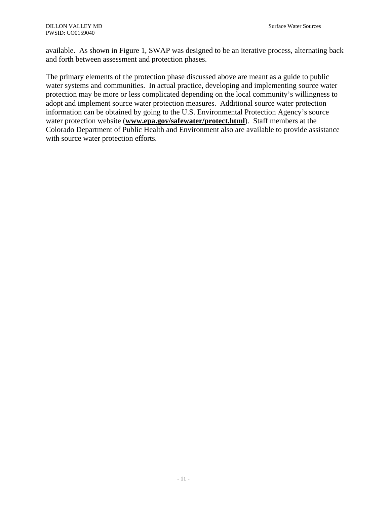available. As shown in Figure 1, SWAP was designed to be an iterative process, alternating back and forth between assessment and protection phases.

The primary elements of the protection phase discussed above are meant as a guide to public water systems and communities. In actual practice, developing and implementing source water protection may be more or less complicated depending on the local community's willingness to adopt and implement source water protection measures. Additional source water protection information can be obtained by going to the U.S. Environmental Protection Agency's source water protection website (**[www.epa.gov/safewater/protect.html](http://www.epa.gov/safewater/protect.html)**). Staff members at the Colorado Department of Public Health and Environment also are available to provide assistance with source water protection efforts.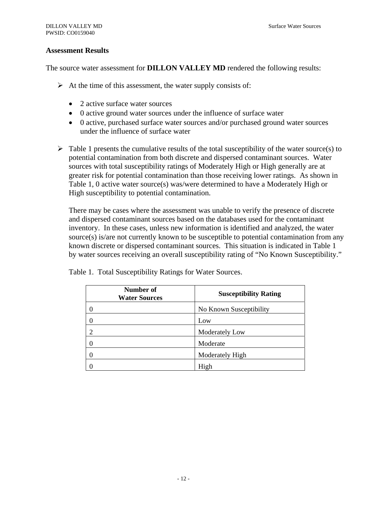#### **Assessment Results**

The source water assessment for **DILLON VALLEY MD** rendered the following results:

- $\triangleright$  At the time of this assessment, the water supply consists of:
	- 2 active surface water sources
	- 0 active ground water sources under the influence of surface water
	- 0 active, purchased surface water sources and/or purchased ground water sources under the influence of surface water
- $\triangleright$  Table 1 presents the cumulative results of the total susceptibility of the water source(s) to potential contamination from both discrete and dispersed contaminant sources. Water sources with total susceptibility ratings of Moderately High or High generally are at greater risk for potential contamination than those receiving lower ratings. As shown in Table 1, 0 active water source(s) was/were determined to have a Moderately High or High susceptibility to potential contamination.

There may be cases where the assessment was unable to verify the presence of discrete and dispersed contaminant sources based on the databases used for the contaminant inventory. In these cases, unless new information is identified and analyzed, the water source(s) is/are not currently known to be susceptible to potential contamination from any known discrete or dispersed contaminant sources. This situation is indicated in Table 1 by water sources receiving an overall susceptibility rating of "No Known Susceptibility."

| Number of<br><b>Water Sources</b> | <b>Susceptibility Rating</b> |
|-----------------------------------|------------------------------|
|                                   | No Known Susceptibility      |
|                                   | Low                          |
| $\overline{2}$                    | Moderately Low               |
|                                   | Moderate                     |
|                                   | Moderately High              |
|                                   | High                         |

Table 1. Total Susceptibility Ratings for Water Sources.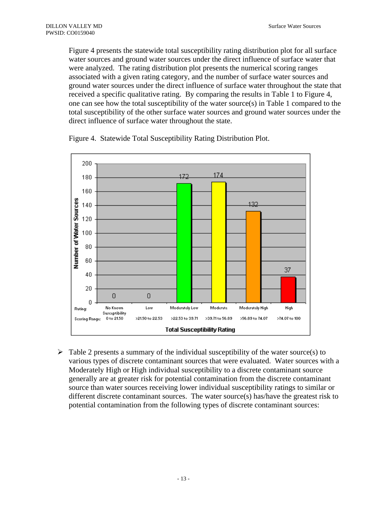Figure 4 presents the statewide total susceptibility rating distribution plot for all surface water sources and ground water sources under the direct influence of surface water that were analyzed. The rating distribution plot presents the numerical scoring ranges associated with a given rating category, and the number of surface water sources and ground water sources under the direct influence of surface water throughout the state that received a specific qualitative rating. By comparing the results in Table 1 to Figure 4, one can see how the total susceptibility of the water source(s) in Table 1 compared to the total susceptibility of the other surface water sources and ground water sources under the direct influence of surface water throughout the state.



Figure 4. Statewide Total Susceptibility Rating Distribution Plot.

 $\triangleright$  Table 2 presents a summary of the individual susceptibility of the water source(s) to various types of discrete contaminant sources that were evaluated. Water sources with a Moderately High or High individual susceptibility to a discrete contaminant source generally are at greater risk for potential contamination from the discrete contaminant source than water sources receiving lower individual susceptibility ratings to similar or different discrete contaminant sources. The water source(s) has/have the greatest risk to potential contamination from the following types of discrete contaminant sources: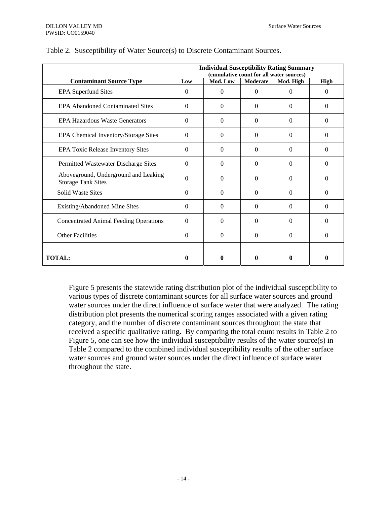|                                                                   | <b>Individual Susceptibility Rating Summary</b><br>(cumulative count for all water sources) |          |                 |           |             |
|-------------------------------------------------------------------|---------------------------------------------------------------------------------------------|----------|-----------------|-----------|-------------|
| <b>Contaminant Source Type</b>                                    | Low                                                                                         | Mod. Low | <b>Moderate</b> | Mod. High | <b>High</b> |
| <b>EPA Superfund Sites</b>                                        | $\Omega$                                                                                    | $\Omega$ | $\Omega$        | $\Omega$  | $\Omega$    |
| <b>EPA Abandoned Contaminated Sites</b>                           | $\theta$                                                                                    | $\theta$ | $\Omega$        | $\Omega$  | $\Omega$    |
| <b>EPA Hazardous Waste Generators</b>                             | $\Omega$                                                                                    | $\Omega$ | $\Omega$        | $\Omega$  | $\Omega$    |
| EPA Chemical Inventory/Storage Sites                              | $\Omega$                                                                                    | $\Omega$ | $\Omega$        | $\Omega$  | $\Omega$    |
| EPA Toxic Release Inventory Sites                                 | $\theta$                                                                                    | $\Omega$ | $\Omega$        | $\Omega$  | $\Omega$    |
| Permitted Wastewater Discharge Sites                              | $\Omega$                                                                                    | $\Omega$ | $\Omega$        | $\Omega$  | $\Omega$    |
| Aboveground, Underground and Leaking<br><b>Storage Tank Sites</b> | $\Omega$                                                                                    | $\Omega$ | $\Omega$        | $\Omega$  | $\Omega$    |
| <b>Solid Waste Sites</b>                                          | $\Omega$                                                                                    | $\Omega$ | $\Omega$        | $\Omega$  | $\Omega$    |
| Existing/Abandoned Mine Sites                                     | $\Omega$                                                                                    | $\Omega$ | $\Omega$        | $\Omega$  | $\Omega$    |
| <b>Concentrated Animal Feeding Operations</b>                     | $\Omega$                                                                                    | $\Omega$ | $\Omega$        | $\Omega$  | $\Omega$    |
| <b>Other Facilities</b>                                           | $\theta$                                                                                    | $\Omega$ | $\Omega$        | $\Omega$  | $\Omega$    |
|                                                                   |                                                                                             |          |                 |           |             |
| <b>TOTAL:</b>                                                     | 0                                                                                           | 0        | 0               | 0         | 0           |

#### Table 2. Susceptibility of Water Source(s) to Discrete Contaminant Sources.

Figure 5 presents the statewide rating distribution plot of the individual susceptibility to various types of discrete contaminant sources for all surface water sources and ground water sources under the direct influence of surface water that were analyzed. The rating distribution plot presents the numerical scoring ranges associated with a given rating category, and the number of discrete contaminant sources throughout the state that received a specific qualitative rating. By comparing the total count results in Table 2 to Figure 5, one can see how the individual susceptibility results of the water source(s) in Table 2 compared to the combined individual susceptibility results of the other surface water sources and ground water sources under the direct influence of surface water throughout the state.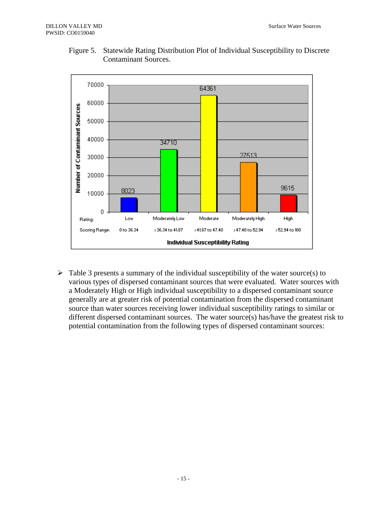



 $\triangleright$  Table 3 presents a summary of the individual susceptibility of the water source(s) to various types of dispersed contaminant sources that were evaluated. Water sources with a Moderately High or High individual susceptibility to a dispersed contaminant source generally are at greater risk of potential contamination from the dispersed contaminant source than water sources receiving lower individual susceptibility ratings to similar or different dispersed contaminant sources. The water source(s) has/have the greatest risk to potential contamination from the following types of dispersed contaminant sources: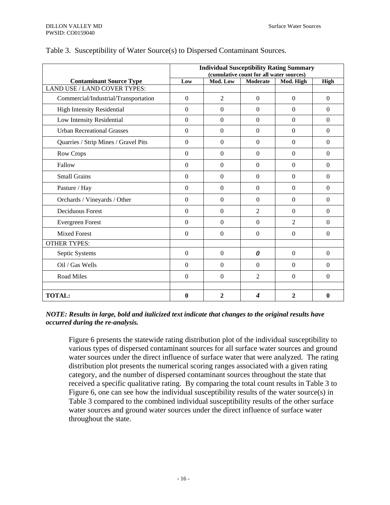|                                      | <b>Individual Susceptibility Rating Summary</b><br>(cumulative count for all water sources) |                  |                       |                  |                |
|--------------------------------------|---------------------------------------------------------------------------------------------|------------------|-----------------------|------------------|----------------|
| <b>Contaminant Source Type</b>       | Low                                                                                         | Mod. Low         | Moderate              | Mod. High        | High           |
| LAND USE / LAND COVER TYPES:         |                                                                                             |                  |                       |                  |                |
| Commercial/Industrial/Transportation | $\boldsymbol{0}$                                                                            | $\overline{2}$   | $\boldsymbol{0}$      | $\boldsymbol{0}$ | $\mathbf{0}$   |
| <b>High Intensity Residential</b>    | $\boldsymbol{0}$                                                                            | $\overline{0}$   | $\Omega$              | $\Omega$         | $\Omega$       |
| Low Intensity Residential            | $\Omega$                                                                                    | $\Omega$         | $\Omega$              | $\Omega$         | $\theta$       |
| <b>Urban Recreational Grasses</b>    | $\Omega$                                                                                    | $\Omega$         | $\Omega$              | $\overline{0}$   | $\overline{0}$ |
| Quarries / Strip Mines / Gravel Pits | $\Omega$                                                                                    | $\Omega$         | $\overline{0}$        | $\overline{0}$   | $\overline{0}$ |
| Row Crops                            | $\theta$                                                                                    | $\Omega$         | $\Omega$              | $\Omega$         | $\Omega$       |
| Fallow                               | $\boldsymbol{0}$                                                                            | $\mathbf{0}$     | $\mathbf{0}$          | $\mathbf{0}$     | $\mathbf{0}$   |
| <b>Small Grains</b>                  | $\Omega$                                                                                    | $\Omega$         | $\Omega$              | $\Omega$         | $\Omega$       |
| Pasture / Hay                        | $\Omega$                                                                                    | $\overline{0}$   | $\Omega$              | $\Omega$         | $\Omega$       |
| Orchards / Vineyards / Other         | $\Omega$                                                                                    | $\Omega$         | $\Omega$              | $\Omega$         | $\Omega$       |
| Deciduous Forest                     | $\boldsymbol{0}$                                                                            | $\overline{0}$   | $\overline{2}$        | $\Omega$         | $\Omega$       |
| Evergreen Forest                     | $\Omega$                                                                                    | $\Omega$         | $\overline{0}$        | $\overline{2}$   | $\theta$       |
| <b>Mixed Forest</b>                  | $\Omega$                                                                                    | $\boldsymbol{0}$ | $\Omega$              | $\Omega$         | $\Omega$       |
| <b>OTHER TYPES:</b>                  |                                                                                             |                  |                       |                  |                |
| Septic Systems                       | $\boldsymbol{0}$                                                                            | $\Omega$         | $\boldsymbol{\theta}$ | $\Omega$         | $\theta$       |
| Oil / Gas Wells                      | $\mathbf{0}$                                                                                | $\overline{0}$   | $\Omega$              | $\overline{0}$   | $\Omega$       |
| <b>Road Miles</b>                    | $\Omega$                                                                                    | $\Omega$         | $\overline{2}$        | $\Omega$         | $\Omega$       |
|                                      |                                                                                             |                  |                       |                  |                |
| <b>TOTAL:</b>                        | $\mathbf{0}$                                                                                | $\mathbf{2}$     | 4                     | $\mathbf{2}$     | $\mathbf{0}$   |

#### Table 3. Susceptibility of Water Source(s) to Dispersed Contaminant Sources.

#### *NOTE: Results in large, bold and italicized text indicate that changes to the original results have occurred during the re-analysis.*

Figure 6 presents the statewide rating distribution plot of the individual susceptibility to various types of dispersed contaminant sources for all surface water sources and ground water sources under the direct influence of surface water that were analyzed. The rating distribution plot presents the numerical scoring ranges associated with a given rating category, and the number of dispersed contaminant sources throughout the state that received a specific qualitative rating. By comparing the total count results in Table 3 to Figure 6, one can see how the individual susceptibility results of the water source(s) in Table 3 compared to the combined individual susceptibility results of the other surface water sources and ground water sources under the direct influence of surface water throughout the state.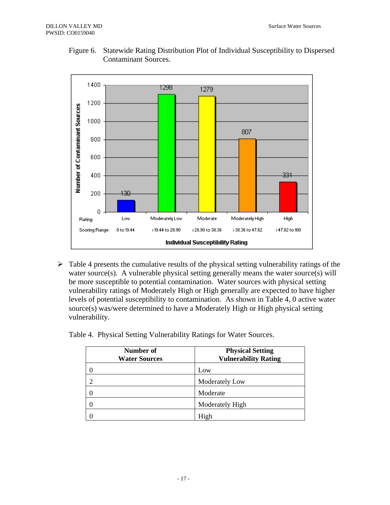Figure 6. Statewide Rating Distribution Plot of Individual Susceptibility to Dispersed Contaminant Sources.



 $\triangleright$  Table 4 presents the cumulative results of the physical setting vulnerability ratings of the water source(s). A vulnerable physical setting generally means the water source(s) will be more susceptible to potential contamination. Water sources with physical setting vulnerability ratings of Moderately High or High generally are expected to have higher levels of potential susceptibility to contamination. As shown in Table 4, 0 active water source(s) was/were determined to have a Moderately High or High physical setting vulnerability.

Table 4. Physical Setting Vulnerability Ratings for Water Sources.

| Number of<br><b>Water Sources</b> | <b>Physical Setting</b><br><b>Vulnerability Rating</b> |
|-----------------------------------|--------------------------------------------------------|
|                                   | Low                                                    |
|                                   | Moderately Low                                         |
|                                   | Moderate                                               |
|                                   | Moderately High                                        |
|                                   | High                                                   |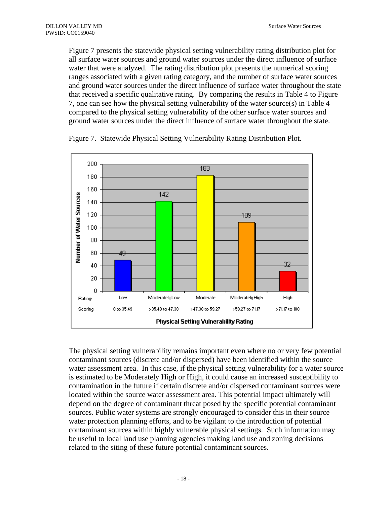Figure 7 presents the statewide physical setting vulnerability rating distribution plot for all surface water sources and ground water sources under the direct influence of surface water that were analyzed. The rating distribution plot presents the numerical scoring ranges associated with a given rating category, and the number of surface water sources and ground water sources under the direct influence of surface water throughout the state that received a specific qualitative rating. By comparing the results in Table 4 to Figure 7, one can see how the physical setting vulnerability of the water source(s) in Table 4 compared to the physical setting vulnerability of the other surface water sources and ground water sources under the direct influence of surface water throughout the state.



Figure 7. Statewide Physical Setting Vulnerability Rating Distribution Plot.

The physical setting vulnerability remains important even where no or very few potential contaminant sources (discrete and/or dispersed) have been identified within the source water assessment area. In this case, if the physical setting vulnerability for a water source is estimated to be Moderately High or High, it could cause an increased susceptibility to contamination in the future if certain discrete and/or dispersed contaminant sources were located within the source water assessment area. This potential impact ultimately will depend on the degree of contaminant threat posed by the specific potential contaminant sources. Public water systems are strongly encouraged to consider this in their source water protection planning efforts, and to be vigilant to the introduction of potential contaminant sources within highly vulnerable physical settings. Such information may be useful to local land use planning agencies making land use and zoning decisions related to the siting of these future potential contaminant sources.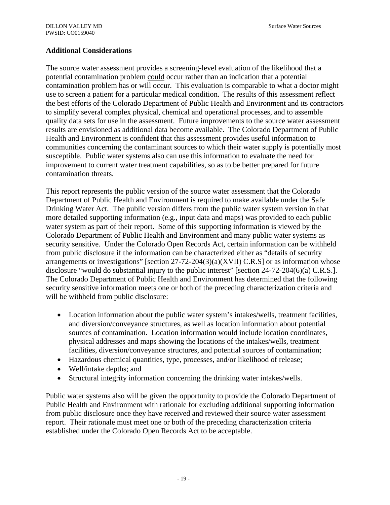#### **Additional Considerations**

The source water assessment provides a screening-level evaluation of the likelihood that a potential contamination problem could occur rather than an indication that a potential contamination problem has or will occur. This evaluation is comparable to what a doctor might use to screen a patient for a particular medical condition. The results of this assessment reflect the best efforts of the Colorado Department of Public Health and Environment and its contractors to simplify several complex physical, chemical and operational processes, and to assemble quality data sets for use in the assessment. Future improvements to the source water assessment results are envisioned as additional data become available. The Colorado Department of Public Health and Environment is confident that this assessment provides useful information to communities concerning the contaminant sources to which their water supply is potentially most susceptible. Public water systems also can use this information to evaluate the need for improvement to current water treatment capabilities, so as to be better prepared for future contamination threats.

This report represents the public version of the source water assessment that the Colorado Department of Public Health and Environment is required to make available under the Safe Drinking Water Act. The public version differs from the public water system version in that more detailed supporting information (e.g., input data and maps) was provided to each public water system as part of their report. Some of this supporting information is viewed by the Colorado Department of Public Health and Environment and many public water systems as security sensitive. Under the Colorado Open Records Act, certain information can be withheld from public disclosure if the information can be characterized either as "details of security arrangements or investigations" [section 27-72-204(3)(a)(XVII) C.R.S] or as information whose disclosure "would do substantial injury to the public interest" [section 24-72-204(6)(a) C.R.S.]. The Colorado Department of Public Health and Environment has determined that the following security sensitive information meets one or both of the preceding characterization criteria and will be withheld from public disclosure:

- Location information about the public water system's intakes/wells, treatment facilities, and diversion/conveyance structures, as well as location information about potential sources of contamination. Location information would include location coordinates, physical addresses and maps showing the locations of the intakes/wells, treatment facilities, diversion/conveyance structures, and potential sources of contamination;
- Hazardous chemical quantities, type, processes, and/or likelihood of release;
- Well/intake depths; and
- Structural integrity information concerning the drinking water intakes/wells.

Public water systems also will be given the opportunity to provide the Colorado Department of Public Health and Environment with rationale for excluding additional supporting information from public disclosure once they have received and reviewed their source water assessment report. Their rationale must meet one or both of the preceding characterization criteria established under the Colorado Open Records Act to be acceptable.